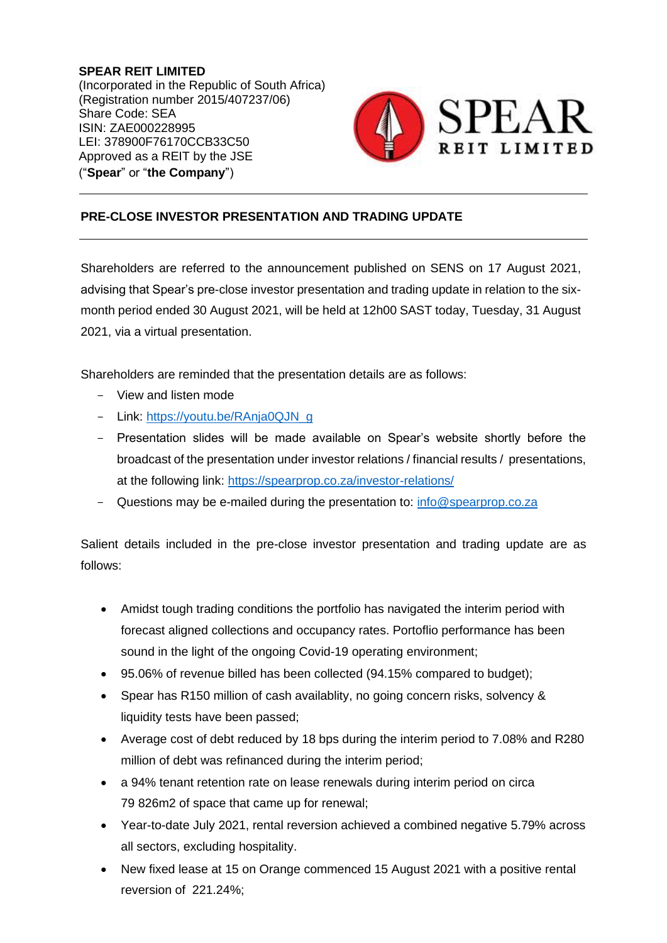**SPEAR REIT LIMITED** (Incorporated in the Republic of South Africa) (Registration number 2015/407237/06) Share Code: SEA ISIN: ZAE000228995 LEI: 378900F76170CCB33C50 Approved as a REIT by the JSE ("**Spear**" or "**the Company**")



## **PRE-CLOSE INVESTOR PRESENTATION AND TRADING UPDATE**

Shareholders are referred to the announcement published on SENS on 17 August 2021, advising that Spear's pre-close investor presentation and trading update in relation to the sixmonth period ended 30 August 2021, will be held at 12h00 SAST today, Tuesday, 31 August 2021, via a virtual presentation.

Shareholders are reminded that the presentation details are as follows:

- View and listen mode
- Link: https://youtu.be/RAnja0QJN\_q
- Presentation slides will be made available on Spear's website shortly before the broadcast of the presentation under investor relations / financial results / presentations, at the following link:<https://spearprop.co.za/investor-relations/>
- Questions may be e-mailed during the presentation to: [info@spearprop.co.za](mailto:info@spearprop.co.za)

Salient details included in the pre-close investor presentation and trading update are as follows:

- Amidst tough trading conditions the portfolio has navigated the interim period with forecast aligned collections and occupancy rates. Portoflio performance has been sound in the light of the ongoing Covid-19 operating environment;
- 95.06% of revenue billed has been collected (94.15% compared to budget);
- Spear has R150 million of cash availablity, no going concern risks, solvency & liquidity tests have been passed;
- Average cost of debt reduced by 18 bps during the interim period to 7.08% and R280 million of debt was refinanced during the interim period;
- a 94% tenant retention rate on lease renewals during interim period on circa 79 826m2 of space that came up for renewal;
- Year-to-date July 2021, rental reversion achieved a combined negative 5.79% across all sectors, excluding hospitality.
- New fixed lease at 15 on Orange commenced 15 August 2021 with a positive rental reversion of 221.24%;